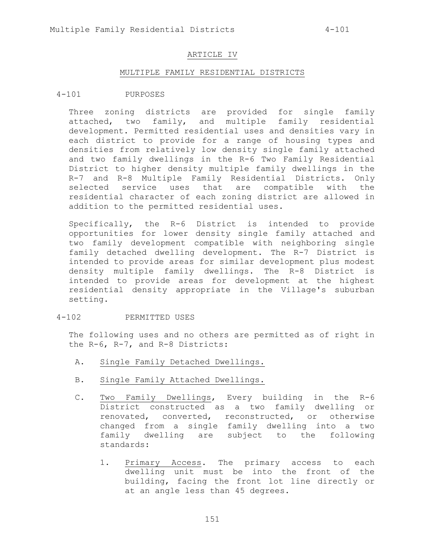#### ARTICLE IV

#### MULTIPLE FAMILY RESIDENTIAL DISTRICTS

#### 4-101 PURPOSES

Three zoning districts are provided for single family attached, two family, and multiple family residential development. Permitted residential uses and densities vary in each district to provide for a range of housing types and densities from relatively low density single family attached and two family dwellings in the R-6 Two Family Residential District to higher density multiple family dwellings in the R-7 and R-8 Multiple Family Residential Districts. Only selected service uses that are compatible with the residential character of each zoning district are allowed in addition to the permitted residential uses.

Specifically, the R-6 District is intended to provide opportunities for lower density single family attached and two family development compatible with neighboring single family detached dwelling development. The R-7 District is intended to provide areas for similar development plus modest density multiple family dwellings. The R-8 District is intended to provide areas for development at the highest residential density appropriate in the Village's suburban setting.

## 4-102 PERMITTED USES

The following uses and no others are permitted as of right in the R-6, R-7, and R-8 Districts:

- A. Single Family Detached Dwellings.
- B. Single Family Attached Dwellings.
- C. Two Family Dwellings, Every building in the R-6 District constructed as a two family dwelling or renovated, converted, reconstructed, or otherwise changed from a single family dwelling into a two family dwelling are subject to the following standards:
	- 1. Primary Access. The primary access to each dwelling unit must be into the front of the building, facing the front lot line directly or at an angle less than 45 degrees.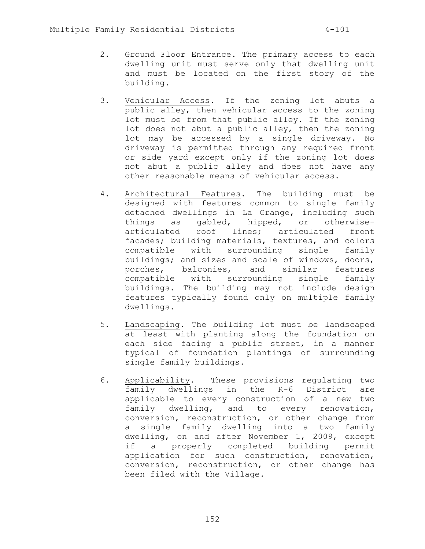- 2. Ground Floor Entrance. The primary access to each dwelling unit must serve only that dwelling unit and must be located on the first story of the building.
- 3. Vehicular Access. If the zoning lot abuts a public alley, then vehicular access to the zoning lot must be from that public alley. If the zoning lot does not abut a public alley, then the zoning lot may be accessed by a single driveway. No driveway is permitted through any required front or side yard except only if the zoning lot does not abut a public alley and does not have any other reasonable means of vehicular access.
- 4. Architectural Features. The building must be designed with features common to single family detached dwellings in La Grange, including such things as gabled, hipped, or otherwisearticulated roof lines; articulated front facades; building materials, textures, and colors compatible with surrounding single family buildings; and sizes and scale of windows, doors, porches, balconies, and similar features compatible with surrounding single family buildings. The building may not include design features typically found only on multiple family dwellings.
- 5. Landscaping. The building lot must be landscaped at least with planting along the foundation on each side facing a public street, in a manner typical of foundation plantings of surrounding single family buildings.
- 6. Applicability. These provisions regulating two family dwellings in the R-6 District are applicable to every construction of a new two family dwelling, and to every renovation, conversion, reconstruction, or other change from a single family dwelling into a two family dwelling, on and after November 1, 2009, except if a properly completed building permit application for such construction, renovation, conversion, reconstruction, or other change has been filed with the Village.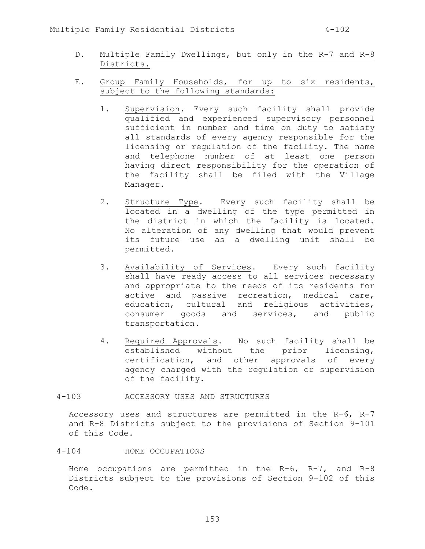- D. Multiple Family Dwellings, but only in the R-7 and R-8 Districts.
- E. Group Family Households, for up to six residents, subject to the following standards:
	- 1. Supervision. Every such facility shall provide qualified and experienced supervisory personnel sufficient in number and time on duty to satisfy all standards of every agency responsible for the licensing or regulation of the facility. The name and telephone number of at least one person having direct responsibility for the operation of the facility shall be filed with the Village Manager.
	- 2. Structure Type. Every such facility shall be located in a dwelling of the type permitted in the district in which the facility is located. No alteration of any dwelling that would prevent its future use as a dwelling unit shall be permitted.
	- 3. Availability of Services. Every such facility shall have ready access to all services necessary and appropriate to the needs of its residents for active and passive recreation, medical care, education, cultural and religious activities, consumer goods and services, and public transportation.
	- 4. Required Approvals. No such facility shall be established without the prior licensing, certification, and other approvals of every agency charged with the regulation or supervision of the facility.
- 4-103 ACCESSORY USES AND STRUCTURES

Accessory uses and structures are permitted in the R-6, R-7 and R-8 Districts subject to the provisions of Section 9-101 of this Code.

# 4-104 HOME OCCUPATIONS

Home occupations are permitted in the R-6, R-7, and R-8 Districts subject to the provisions of Section 9-102 of this Code.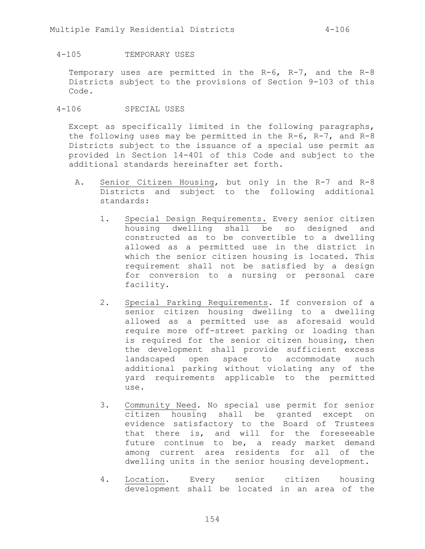# 4-105 TEMPORARY USES

Temporary uses are permitted in the R-6, R-7, and the R-8 Districts subject to the provisions of Section 9-103 of this Code.

# 4-106 SPECIAL USES

Except as specifically limited in the following paragraphs, the following uses may be permitted in the R-6, R-7, and R-8 Districts subject to the issuance of a special use permit as provided in Section 14-401 of this Code and subject to the additional standards hereinafter set forth.

- A. Senior Citizen Housing, but only in the R-7 and R-8 Districts and subject to the following additional standards:
	- 1. Special Design Requirements. Every senior citizen housing dwelling shall be so designed and constructed as to be convertible to a dwelling allowed as a permitted use in the district in which the senior citizen housing is located. This requirement shall not be satisfied by a design for conversion to a nursing or personal care facility.
	- 2. Special Parking Requirements. If conversion of a senior citizen housing dwelling to a dwelling allowed as a permitted use as aforesaid would require more off-street parking or loading than is required for the senior citizen housing, then the development shall provide sufficient excess landscaped open space to accommodate such additional parking without violating any of the yard requirements applicable to the permitted use.
	- 3. Community Need. No special use permit for senior citizen housing shall be granted except on evidence satisfactory to the Board of Trustees that there is, and will for the foreseeable future continue to be, a ready market demand among current area residents for all of the dwelling units in the senior housing development.
	- 4. Location. Every senior citizen housing development shall be located in an area of the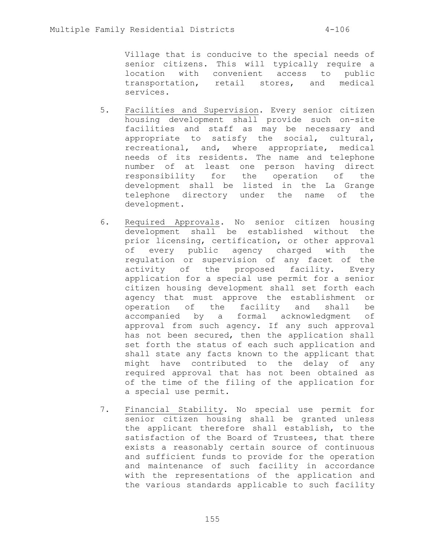Village that is conducive to the special needs of senior citizens. This will typically require a location with convenient access to public transportation, retail stores, and medical services.

- 5. Facilities and Supervision. Every senior citizen housing development shall provide such on-site facilities and staff as may be necessary and appropriate to satisfy the social, cultural, recreational, and, where appropriate, medical needs of its residents. The name and telephone number of at least one person having direct responsibility for the operation of the development shall be listed in the La Grange telephone directory under the name of the development.
- 6. Required Approvals. No senior citizen housing development shall be established without the prior licensing, certification, or other approval of every public agency charged with the regulation or supervision of any facet of the activity of the proposed facility. Every application for a special use permit for a senior citizen housing development shall set forth each agency that must approve the establishment or operation of the facility and shall be accompanied by a formal acknowledgment of approval from such agency. If any such approval has not been secured, then the application shall set forth the status of each such application and shall state any facts known to the applicant that might have contributed to the delay of any required approval that has not been obtained as of the time of the filing of the application for a special use permit.
- 7. Financial Stability. No special use permit for senior citizen housing shall be granted unless the applicant therefore shall establish, to the satisfaction of the Board of Trustees, that there exists a reasonably certain source of continuous and sufficient funds to provide for the operation and maintenance of such facility in accordance with the representations of the application and the various standards applicable to such facility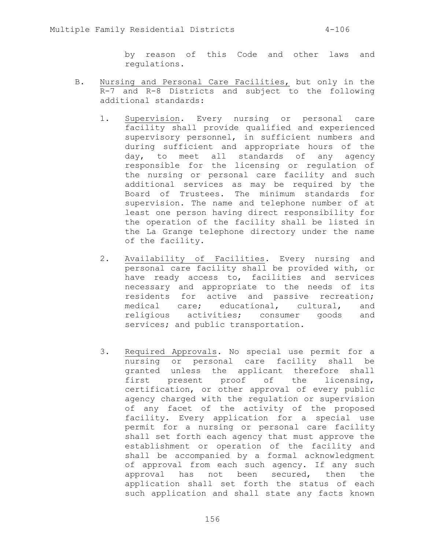by reason of this Code and other laws and regulations.

- B. Nursing and Personal Care Facilities, but only in the R-7 and R-8 Districts and subject to the following additional standards:
	- 1. Supervision. Every nursing or personal care facility shall provide qualified and experienced supervisory personnel, in sufficient numbers and during sufficient and appropriate hours of the day, to meet all standards of any agency responsible for the licensing or regulation of the nursing or personal care facility and such additional services as may be required by the Board of Trustees. The minimum standards for supervision. The name and telephone number of at least one person having direct responsibility for the operation of the facility shall be listed in the La Grange telephone directory under the name of the facility.
	- 2. Availability of Facilities. Every nursing and personal care facility shall be provided with, or have ready access to, facilities and services necessary and appropriate to the needs of its residents for active and passive recreation; medical care; educational, cultural, and religious activities; consumer goods and services; and public transportation.
	- 3. Required Approvals. No special use permit for a nursing or personal care facility shall be granted unless the applicant therefore shall first present proof of the licensing, certification, or other approval of every public agency charged with the regulation or supervision of any facet of the activity of the proposed facility. Every application for a special use permit for a nursing or personal care facility shall set forth each agency that must approve the establishment or operation of the facility and shall be accompanied by a formal acknowledgment of approval from each such agency. If any such approval has not been secured, then the application shall set forth the status of each such application and shall state any facts known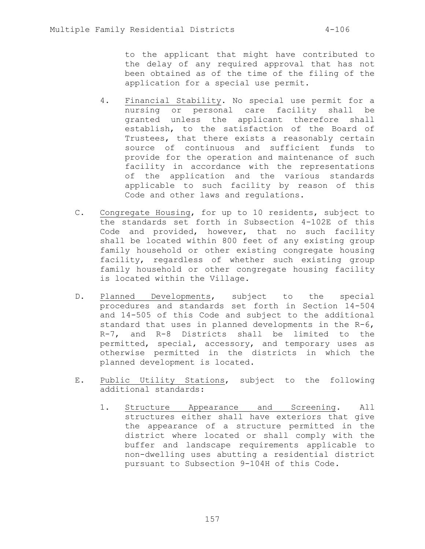to the applicant that might have contributed to the delay of any required approval that has not been obtained as of the time of the filing of the application for a special use permit.

- 4. Financial Stability. No special use permit for a nursing or personal care facility shall be granted unless the applicant therefore shall establish, to the satisfaction of the Board of Trustees, that there exists a reasonably certain source of continuous and sufficient funds to provide for the operation and maintenance of such facility in accordance with the representations of the application and the various standards applicable to such facility by reason of this Code and other laws and regulations.
- C. Congregate Housing, for up to 10 residents, subject to the standards set forth in Subsection 4-102E of this Code and provided, however, that no such facility shall be located within 800 feet of any existing group family household or other existing congregate housing facility, regardless of whether such existing group family household or other congregate housing facility is located within the Village.
- D. Planned Developments, subject to the special procedures and standards set forth in Section 14-504 and 14-505 of this Code and subject to the additional standard that uses in planned developments in the R-6, R-7, and R-8 Districts shall be limited to the permitted, special, accessory, and temporary uses as otherwise permitted in the districts in which the planned development is located.
- E. Public Utility Stations, subject to the following additional standards:
	- 1. Structure Appearance and Screening. All structures either shall have exteriors that give the appearance of a structure permitted in the district where located or shall comply with the buffer and landscape requirements applicable to non-dwelling uses abutting a residential district pursuant to Subsection 9-104H of this Code.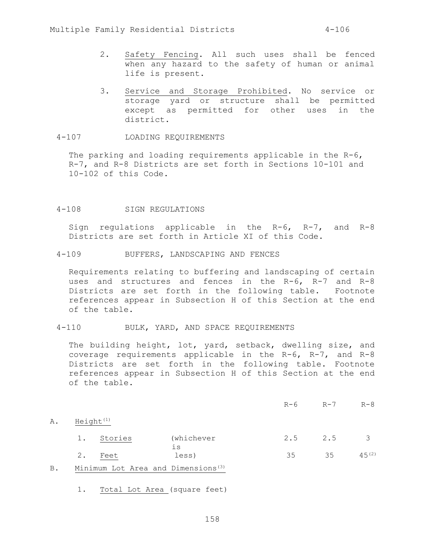- 2. Safety Fencing. All such uses shall be fenced when any hazard to the safety of human or animal life is present.
- 3. Service and Storage Prohibited. No service or storage yard or structure shall be permitted except as permitted for other uses in the district.
- 4-107 LOADING REQUIREMENTS

The parking and loading requirements applicable in the R-6, R-7, and R-8 Districts are set forth in Sections 10-101 and 10-102 of this Code.

## 4-108 SIGN REGULATIONS

Sign regulations applicable in the R-6, R-7, and R-8 Districts are set forth in Article XI of this Code.

4-109 BUFFERS, LANDSCAPING AND FENCES

Requirements relating to buffering and landscaping of certain uses and structures and fences in the R-6, R-7 and R-8 Districts are set forth in the following table. Footnote references appear in Subsection H of this Section at the end of the table.

## 4-110 BULK, YARD, AND SPACE REQUIREMENTS

The building height, lot, yard, setback, dwelling size, and coverage requirements applicable in the R-6, R-7, and R-8 Districts are set forth in the following table. Footnote references appear in Subsection H of this Section at the end of the table.

| R-6 | $R - 7$ | $R-8$ |
|-----|---------|-------|
|     |         |       |

A. Height<sup>(1)</sup>

| 1. Stories | (whichever | $2.5$ 2.5 |    | $\overline{3}$ |
|------------|------------|-----------|----|----------------|
| Feet       | less)      | 35        | 35 | $45^{(2)}$     |

- B. Minimum Lot Area and Dimensions<sup>(3)</sup>
	- 1. Total Lot Area (square feet)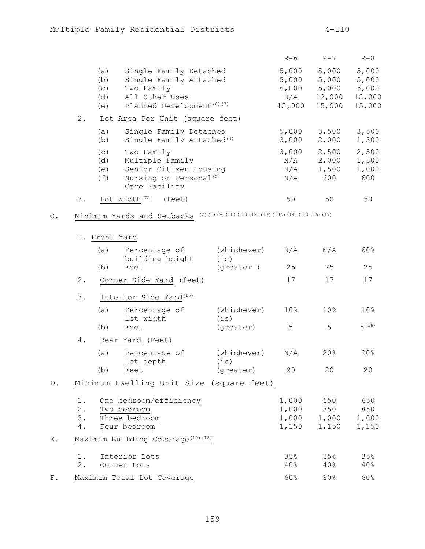|                                 |                                                                                                                           | $R-6$                                    | $R-7$                                       | $R-8$                                       |
|---------------------------------|---------------------------------------------------------------------------------------------------------------------------|------------------------------------------|---------------------------------------------|---------------------------------------------|
| (a)<br>(b)<br>(C)<br>(d)<br>(e) | Single Family Detached<br>Single Family Attached<br>Two Family<br>All Other Uses<br>Planned Development <sup>(6)(7)</sup> | 5,000<br>5,000<br>6,000<br>N/A<br>15,000 | 5,000<br>5,000<br>5,000<br>12,000<br>15,000 | 5,000<br>5,000<br>5,000<br>12,000<br>15,000 |
| 2.                              | Lot Area Per Unit (square feet)                                                                                           |                                          |                                             |                                             |
| (a)<br>(b)                      | Single Family Detached<br>Single Family Attached <sup>(4)</sup>                                                           | 5,000<br>3,000                           | 3,500<br>2,000                              | 3,500<br>1,300                              |
| (C)<br>(d)<br>(e)<br>(f)        | Two Family<br>Multiple Family<br>Senior Citizen Housing<br>Nursing or Personal <sup>(5)</sup><br>Care Facility            | 3,000<br>N/A<br>N/A<br>N/A               | 2,500<br>2,000<br>1,500<br>600              | 2,500<br>1,300<br>1,000<br>600              |
| 3.                              | Lot Width <sup>(7A)</sup><br>(feet)                                                                                       | 50                                       | 50                                          | 50                                          |

C. Minimum Yards and Setbacks<sup>(2)(8)(9)(10)(11)(12)(13)(13A)(14)(15)(16)(17)</sup>

|       |                         | 1. Front Yard                                                          |                                          |                      |                         |                                    |                              |  |
|-------|-------------------------|------------------------------------------------------------------------|------------------------------------------|----------------------|-------------------------|------------------------------------|------------------------------|--|
|       |                         | (a)                                                                    | Percentage of<br>building height         | (whichever)<br>(i s) | N/A                     | N/A                                | 60%                          |  |
|       |                         | (b)                                                                    | Feet                                     | (greater)            | 25                      | 25                                 | 25                           |  |
|       | 2.                      |                                                                        | Corner Side Yard (feet)                  |                      | 17                      | 17                                 | 17                           |  |
|       | 3.                      |                                                                        | Interior Side Yard <sup>(15)</sup>       |                      |                         |                                    |                              |  |
|       |                         | (a)                                                                    | Percentage of<br>lot width               | (whichever)<br>(i s) | 10%                     | 10%                                | 10%                          |  |
|       |                         | (b)                                                                    | Feet                                     | (greater)            | 5                       | 5                                  | 5(16)                        |  |
| 4.    |                         | Rear Yard (Feet)                                                       |                                          |                      |                         |                                    |                              |  |
|       |                         | (a)                                                                    | Percentage of<br>lot depth               | (whichever)<br>(i s) | N/A                     | 20%                                | 20%                          |  |
|       |                         | (b)                                                                    | Feet                                     | (greater)            | 20                      | 20                                 | 20                           |  |
| $D$ . |                         |                                                                        | Minimum Dwelling Unit Size (square feet) |                      |                         |                                    |                              |  |
|       | $1$ .<br>2.<br>3.<br>4. | One bedroom/efficiency<br>Two bedroom<br>Three bedroom<br>Four bedroom |                                          |                      | 1,000<br>1,000<br>1,150 | 650<br>1,000 850<br>1,000<br>1,150 | 650<br>850<br>1,000<br>1,150 |  |
| Ε.    |                         | Maximum Building Coverage <sup>(10)</sup> <sup>(18)</sup>              |                                          |                      |                         |                                    |                              |  |
|       | 1.<br>2.                |                                                                        | Interior Lots<br>Corner Lots             |                      | 35%<br>40%              | 35%<br>40%                         | 35%<br>40%                   |  |
| $F$ . |                         | Maximum Total Lot Coverage                                             |                                          |                      | 60%                     | 60%                                | 60%                          |  |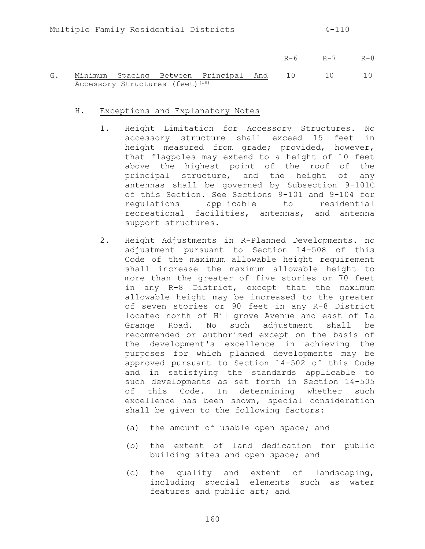- R-6 R-7 R-8
- G. Minimum Spacing Between Principal And Accessory Structures (feet)<sup>(19)</sup> 10 10 10
	- H. Exceptions and Explanatory Notes
		- 1. Height Limitation for Accessory Structures. No accessory structure shall exceed 15 feet in height measured from grade; provided, however, that flagpoles may extend to a height of 10 feet above the highest point of the roof of the principal structure, and the height of any antennas shall be governed by Subsection 9-101C of this Section. See Sections 9-101 and 9-104 for regulations applicable to residential recreational facilities, antennas, and antenna support structures.
		- 2. Height Adjustments in R-Planned Developments. no adjustment pursuant to Section 14-508 of this Code of the maximum allowable height requirement shall increase the maximum allowable height to more than the greater of five stories or 70 feet in any R-8 District, except that the maximum allowable height may be increased to the greater of seven stories or 90 feet in any R-8 District located north of Hillgrove Avenue and east of La Grange Road. No such adjustment shall be recommended or authorized except on the basis of the development's excellence in achieving the purposes for which planned developments may be approved pursuant to Section 14-502 of this Code and in satisfying the standards applicable to such developments as set forth in Section 14-505 of this Code. In determining whether such excellence has been shown, special consideration shall be given to the following factors:
			- (a) the amount of usable open space; and
			- (b) the extent of land dedication for public building sites and open space; and
			- (c) the quality and extent of landscaping, including special elements such as water features and public art; and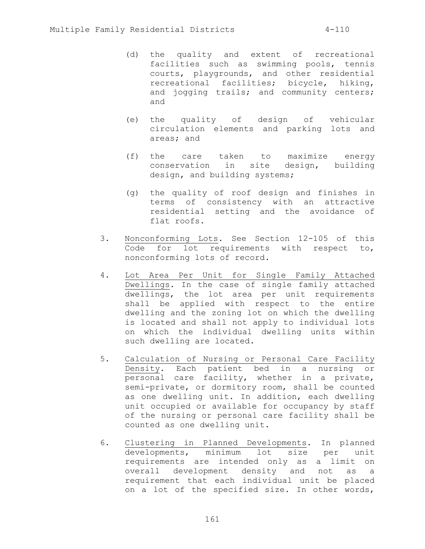- (d) the quality and extent of recreational facilities such as swimming pools, tennis courts, playgrounds, and other residential recreational facilities; bicycle, hiking, and jogging trails; and community centers; and
- (e) the quality of design of vehicular circulation elements and parking lots and areas; and
- (f) the care taken to maximize energy conservation in site design, building design, and building systems;
- (g) the quality of roof design and finishes in terms of consistency with an attractive residential setting and the avoidance of flat roofs.
- 3. Nonconforming Lots. See Section 12-105 of this Code for lot requirements with respect to, nonconforming lots of record.
- 4. Lot Area Per Unit for Single Family Attached Dwellings. In the case of single family attached dwellings, the lot area per unit requirements shall be applied with respect to the entire dwelling and the zoning lot on which the dwelling is located and shall not apply to individual lots on which the individual dwelling units within such dwelling are located.
- 5. Calculation of Nursing or Personal Care Facility Density. Each patient bed in a nursing or **personal** care facility, whether in a private, semi-private, or dormitory room, shall be counted as one dwelling unit. In addition, each dwelling unit occupied or available for occupancy by staff of the nursing or personal care facility shall be counted as one dwelling unit.
- 6. Clustering in Planned Developments. In planned developments, minimum lot size per unit requirements are intended only as a limit on overall development density and not as a requirement that each individual unit be placed on a lot of the specified size. In other words,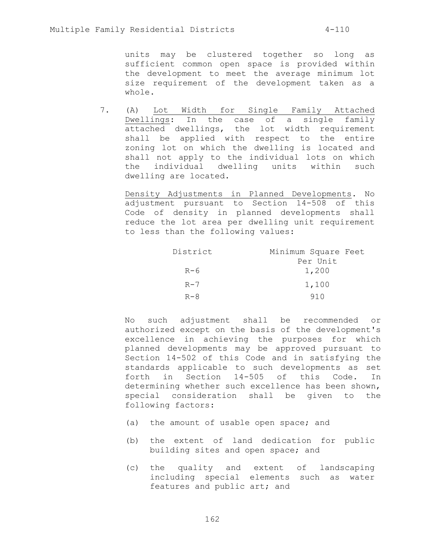units may be clustered together so long as sufficient common open space is provided within the development to meet the average minimum lot size requirement of the development taken as a whole.

7. (A) Lot Width for Single Family Attached Dwellings: In the case of a single family attached dwellings, the lot width requirement shall be applied with respect to the entire zoning lot on which the dwelling is located and shall not apply to the individual lots on which the individual dwelling units within such dwelling are located.

Density Adjustments in Planned Developments. No adjustment pursuant to Section 14-508 of this Code of density in planned developments shall reduce the lot area per dwelling unit requirement to less than the following values:

| District | Minimum Square Feet |  |  |
|----------|---------------------|--|--|
|          | Per Unit            |  |  |
| $R-6$    | 1,200               |  |  |
| $R - 7$  | 1,100               |  |  |
| $R - 8$  | 91 N                |  |  |

No such adjustment shall be recommended or authorized except on the basis of the development's excellence in achieving the purposes for which planned developments may be approved pursuant to Section 14-502 of this Code and in satisfying the standards applicable to such developments as set forth in Section 14-505 of this Code. In determining whether such excellence has been shown, special consideration shall be given to the following factors:

- (a) the amount of usable open space; and
- (b) the extent of land dedication for public building sites and open space; and
- (c) the quality and extent of landscaping including special elements such as water features and public art; and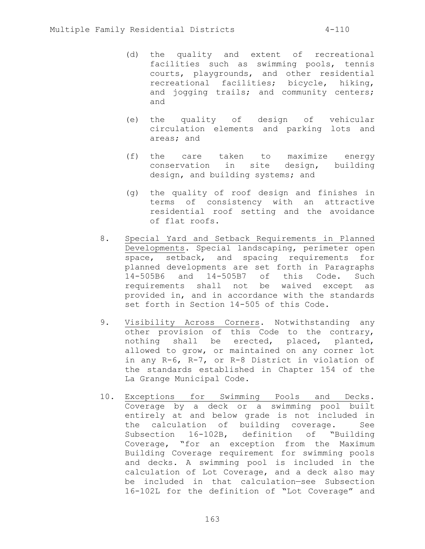- (d) the quality and extent of recreational facilities such as swimming pools, tennis courts, playgrounds, and other residential recreational facilities; bicycle, hiking, and jogging trails; and community centers; and
- (e) the quality of design of vehicular circulation elements and parking lots and areas; and
- (f) the care taken to maximize energy conservation in site design, building design, and building systems; and
- (g) the quality of roof design and finishes in terms of consistency with an attractive residential roof setting and the avoidance of flat roofs.
- 8. Special Yard and Setback Requirements in Planned Developments. Special landscaping, perimeter open space, setback, and spacing requirements for planned developments are set forth in Paragraphs 14-505B6 and 14-505B7 of this Code. Such requirements shall not be waived except as provided in, and in accordance with the standards set forth in Section 14-505 of this Code.
- 9. Visibility Across Corners. Notwithstanding any other provision of this Code to the contrary, nothing shall be erected, placed, planted, allowed to grow, or maintained on any corner lot in any R-6, R-7, or R-8 District in violation of the standards established in Chapter 154 of the La Grange Municipal Code.
- 10. Exceptions for Swimming Pools and Decks. Coverage by a deck or a swimming pool built entirely at and below grade is not included in the calculation of building coverage. See Subsection 16-102B, definition of "Building Coverage, "for an exception from the Maximum Building Coverage requirement for swimming pools and decks. A swimming pool is included in the calculation of Lot Coverage, and a deck also may be included in that calculation—see Subsection 16-102L for the definition of "Lot Coverage" and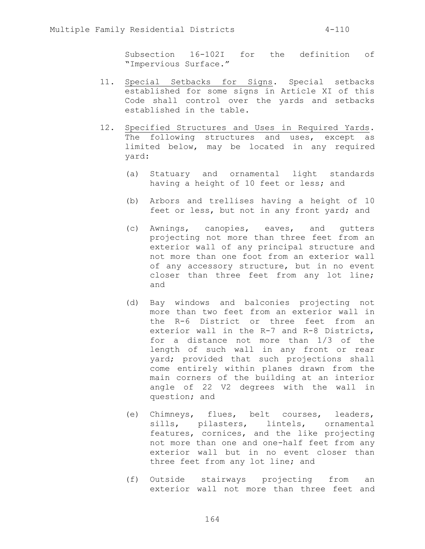Subsection 16-102I for the definition of "Impervious Surface."

- 11. Special Setbacks for Signs. Special setbacks established for some signs in Article XI of this Code shall control over the yards and setbacks established in the table.
- 12. Specified Structures and Uses in Required Yards. The following structures and uses, except as limited below, may be located in any required yard:
	- (a) Statuary and ornamental light standards having a height of 10 feet or less; and
	- (b) Arbors and trellises having a height of 10 feet or less, but not in any front yard; and
	- (c) Awnings, canopies, eaves, and gutters projecting not more than three feet from an exterior wall of any principal structure and not more than one foot from an exterior wall of any accessory structure, but in no event closer than three feet from any lot line; and
	- (d) Bay windows and balconies projecting not more than two feet from an exterior wall in the R-6 District or three feet from an exterior wall in the R-7 and R-8 Districts, for a distance not more than 1/3 of the length of such wall in any front or rear yard; provided that such projections shall come entirely within planes drawn from the main corners of the building at an interior angle of 22 V2 degrees with the wall in question; and
	- (e) Chimneys, flues, belt courses, leaders, sills, pilasters, lintels, ornamental features, cornices, and the like projecting not more than one and one-half feet from any exterior wall but in no event closer than three feet from any lot line; and
	- (f) Outside stairways projecting from an exterior wall not more than three feet and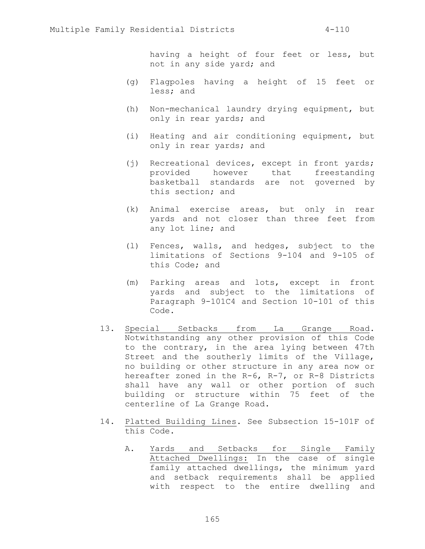having a height of four feet or less, but not in any side yard; and

- (g) Flagpoles having a height of 15 feet or less; and
- (h) Non-mechanical laundry drying equipment, but only in rear yards; and
- (i) Heating and air conditioning equipment, but only in rear yards; and
- (j) Recreational devices, except in front yards; provided however that freestanding basketball standards are not governed by this section; and
- (k) Animal exercise areas, but only in rear yards and not closer than three feet from any lot line; and
- (l) Fences, walls, and hedges, subject to the limitations of Sections 9-104 and 9-105 of this Code; and
- (m) Parking areas and lots, except in front yards and subject to the limitations of Paragraph 9-101C4 and Section 10-101 of this Code.
- 13. Special Setbacks from La Grange Road. Notwithstanding any other provision of this Code to the contrary, in the area lying between 47th Street and the southerly limits of the Village, no building or other structure in any area now or hereafter zoned in the R-6, R-7, or R-8 Districts shall have any wall or other portion of such building or structure within 75 feet of the centerline of La Grange Road.
- 14. Platted Building Lines. See Subsection 15-101F of this Code.
	- A. Yards and Setbacks for Single Family Attached Dwellings: In the case of single family attached dwellings, the minimum yard and setback requirements shall be applied with respect to the entire dwelling and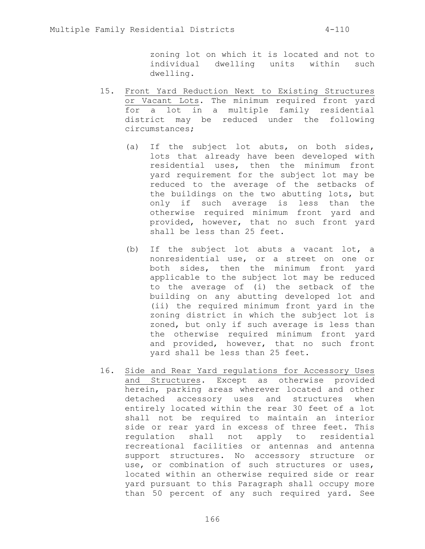zoning lot on which it is located and not to individual dwelling units within such dwelling.

- 15. Front Yard Reduction Next to Existing Structures or Vacant Lots. The minimum required front yard for a lot in a multiple family residential district may be reduced under the following circumstances;
	- (a) If the subject lot abuts, on both sides, lots that already have been developed with residential uses, then the minimum front yard requirement for the subject lot may be reduced to the average of the setbacks of the buildings on the two abutting lots, but only if such average is less than the otherwise required minimum front yard and provided, however, that no such front yard shall be less than 25 feet.
	- (b) If the subject lot abuts a vacant lot, a nonresidential use, or a street on one or both sides, then the minimum front yard applicable to the subject lot may be reduced to the average of (i) the setback of the building on any abutting developed lot and (ii) the required minimum front yard in the zoning district in which the subject lot is zoned, but only if such average is less than the otherwise required minimum front yard and provided, however, that no such front yard shall be less than 25 feet.
- 16. Side and Rear Yard regulations for Accessory Uses and Structures. Except as otherwise provided herein, parking areas wherever located and other detached accessory uses and structures when entirely located within the rear 30 feet of a lot shall not be required to maintain an interior side or rear yard in excess of three feet. This regulation shall not apply to residential recreational facilities or antennas and antenna support structures. No accessory structure or use, or combination of such structures or uses, located within an otherwise required side or rear yard pursuant to this Paragraph shall occupy more than 50 percent of any such required yard. See